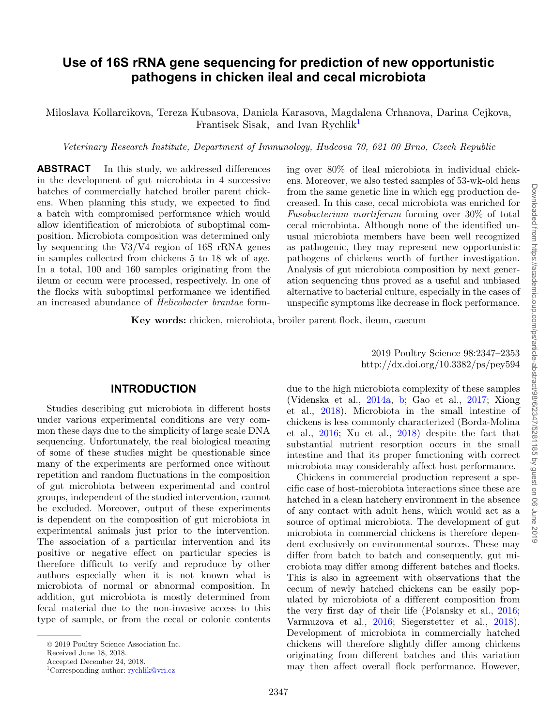# **Use of 16S rRNA gene sequencing for prediction of new opportunistic pathogens in chicken ileal and cecal microbiota**

Miloslava Kollarcikova, Tereza Kubasova, Daniela Karasova, Magdalena Crhanova, Darina Cejkova, Frantisek Sisak, and Ivan Rychli[k1](#page-0-0)

*Veterinary Research Institute, Department of Immunology, Hudcova 70, 621 00 Brno, Czech Republic*

**ABSTRACT** In this study, we addressed differences in the development of gut microbiota in 4 successive batches of commercially hatched broiler parent chickens. When planning this study, we expected to find a batch with compromised performance which would allow identification of microbiota of suboptimal composition. Microbiota composition was determined only by sequencing the V3/V4 region of 16S rRNA genes in samples collected from chickens 5 to 18 wk of age. In a total, 100 and 160 samples originating from the ileum or cecum were processed, respectively. In one of the flocks with suboptimal performance we identified an increased abundance of *Helicobacter brantae* form-

ing over 80% of ileal microbiota in individual chickens. Moreover, we also tested samples of 53-wk-old hens from the same genetic line in which egg production decreased. In this case, cecal microbiota was enriched for *Fusobacterium mortiferum* forming over 30% of total cecal microbiota. Although none of the identified unusual microbiota members have been well recognized as pathogenic, they may represent new opportunistic pathogens of chickens worth of further investigation. Analysis of gut microbiota composition by next generation sequencing thus proved as a useful and unbiased alternative to bacterial culture, especially in the cases of unspecific symptoms like decrease in flock performance.

**Key words:** chicken, microbiota, broiler parent flock, ileum, caecum

### **INTRODUCTION**

Studies describing gut microbiota in different hosts under various experimental conditions are very common these days due to the simplicity of large scale DNA sequencing. Unfortunately, the real biological meaning of some of these studies might be questionable since many of the experiments are performed once without repetition and random fluctuations in the composition of gut microbiota between experimental and control groups, independent of the studied intervention, cannot be excluded. Moreover, output of these experiments is dependent on the composition of gut microbiota in experimental animals just prior to the intervention. The association of a particular intervention and its positive or negative effect on particular species is therefore difficult to verify and reproduce by other authors especially when it is not known what is microbiota of normal or abnormal composition. In addition, gut microbiota is mostly determined from fecal material due to the non-invasive access to this type of sample, or from the cecal or colonic contents

Received June 18, 2018.

<span id="page-0-0"></span>Accepted December 24, 2018.

2019 Poultry Science 98:2347–2353 http://dx.doi.org/10.3382/ps/pey594

due to the high microbiota complexity of these samples (Videnska et al., [2014a,](#page-6-0) [b;](#page-6-1) Gao et al., [2017;](#page-5-0) Xiong et al., [2018\)](#page-6-2). Microbiota in the small intestine of chickens is less commonly characterized (Borda-Molina et al., [2016;](#page-5-1) Xu et al., [2018\)](#page-6-3) despite the fact that substantial nutrient resorption occurs in the small intestine and that its proper functioning with correct microbiota may considerably affect host performance.

Chickens in commercial production represent a specific case of host-microbiota interactions since these are hatched in a clean hatchery environment in the absence of any contact with adult hens, which would act as a source of optimal microbiota. The development of gut microbiota in commercial chickens is therefore dependent exclusively on environmental sources. These may differ from batch to batch and consequently, gut microbiota may differ among different batches and flocks. This is also in agreement with observations that the cecum of newly hatched chickens can be easily populated by microbiota of a different composition from the very first day of their life (Polansky et al., [2016;](#page-5-2) Varmuzova et al., [2016;](#page-6-4) Siegerstetter et al., [2018\)](#page-6-5). Development of microbiota in commercially hatched chickens will therefore slightly differ among chickens originating from different batches and this variation may then affect overall flock performance. However,

<sup>-</sup><sup>C</sup> 2019 Poultry Science Association Inc.

<sup>1</sup>Corresponding author: [rychlik@vri.cz](mailto:rychlik@vri.cz)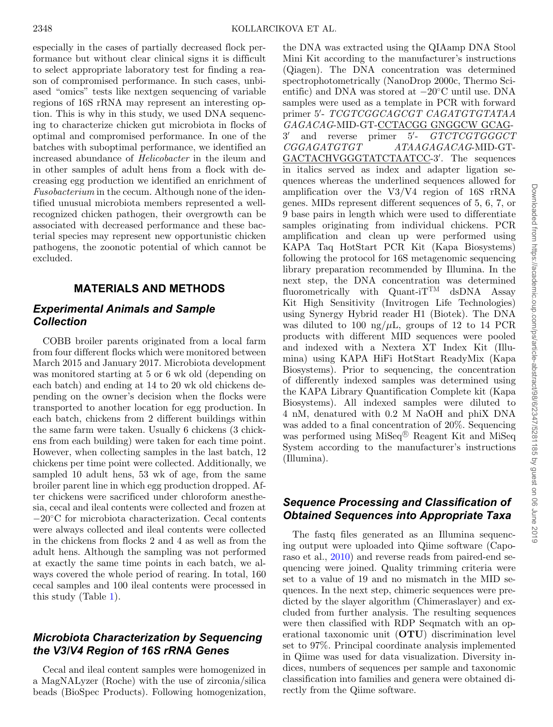especially in the cases of partially decreased flock performance but without clear clinical signs it is difficult to select appropriate laboratory test for finding a reason of compromised performance. In such cases, unbiased "omics" tests like nextgen sequencing of variable regions of 16S rRNA may represent an interesting option. This is why in this study, we used DNA sequencing to characterize chicken gut microbiota in flocks of optimal and compromised performance. In one of the batches with suboptimal performance, we identified an increased abundance of *Helicobacter* in the ileum and in other samples of adult hens from a flock with decreasing egg production we identified an enrichment of *Fusobacterium* in the cecum. Although none of the identified unusual microbiota members represented a wellrecognized chicken pathogen, their overgrowth can be associated with decreased performance and these bacterial species may represent new opportunistic chicken pathogens, the zoonotic potential of which cannot be excluded.

### **MATERIALS AND METHODS**

# *Experimental Animals and Sample Collection*

COBB broiler parents originated from a local farm from four different flocks which were monitored between March 2015 and January 2017. Microbiota development was monitored starting at 5 or 6 wk old (depending on each batch) and ending at 14 to 20 wk old chickens depending on the owner's decision when the flocks were transported to another location for egg production. In each batch, chickens from 2 different buildings within the same farm were taken. Usually 6 chickens (3 chickens from each building) were taken for each time point. However, when collecting samples in the last batch, 12 chickens per time point were collected. Additionally, we sampled 10 adult hens, 53 wk of age, from the same broiler parent line in which egg production dropped. After chickens were sacrificed under chloroform anesthesia, cecal and ileal contents were collected and frozen at −20◦C for microbiota characterization. Cecal contents were always collected and ileal contents were collected in the chickens from flocks 2 and 4 as well as from the adult hens. Although the sampling was not performed at exactly the same time points in each batch, we always covered the whole period of rearing. In total, 160 cecal samples and 100 ileal contents were processed in this study (Table [1\)](#page-2-0).

# *Microbiota Characterization by Sequencing the V3/V4 Region of 16S rRNA Genes*

Cecal and ileal content samples were homogenized in a MagNALyzer (Roche) with the use of zirconia/silica beads (BioSpec Products). Following homogenization, the DNA was extracted using the QIAamp DNA Stool Mini Kit according to the manufacturer's instructions (Qiagen). The DNA concentration was determined spectrophotometrically (NanoDrop 2000c, Thermo Scientific) and DNA was stored at −20◦C until use. DNA samples were used as a template in PCR with forward primer 5 - *TCGTCGGCAGCGT CAGATGTGTATAA GAGACAG*-MID-GT-CCTACGG GNGGCW GCAG-3 and reverse primer 5 - *GTCTCGTGGGCT CGGAGATGTGT ATAAGAGACAG*-MID-GT-GACTACHVGGGTATCTAATCC-3 . The sequences in italics served as index and adapter ligation sequences whereas the underlined sequences allowed for amplification over the V3/V4 region of 16S rRNA genes. MIDs represent different sequences of 5, 6, 7, or 9 base pairs in length which were used to differentiate samples originating from individual chickens. PCR amplification and clean up were performed using KAPA Taq HotStart PCR Kit (Kapa Biosystems) following the protocol for 16S metagenomic sequencing library preparation recommended by Illumina. In the next step, the DNA concentration was determined fluorometrically with Quant-i $T^{TM}$  dsDNA Assay Kit High Sensitivity (Invitrogen Life Technologies) using Synergy Hybrid reader H1 (Biotek). The DNA was diluted to 100 ng/ $\mu$ L, groups of 12 to 14 PCR products with different MID sequences were pooled and indexed with a Nextera XT Index Kit (Illumina) using KAPA HiFi HotStart ReadyMix (Kapa Biosystems). Prior to sequencing, the concentration of differently indexed samples was determined using the KAPA Library Quantification Complete kit (Kapa Biosystems). All indexed samples were diluted to 4 nM, denatured with 0.2 M NaOH and phiX DNA was added to a final concentration of 20%. Sequencing was performed using  $MiSeq^{(k)}$  Reagent Kit and MiSeq System according to the manufacturer's instructions (Illumina).

# *Sequence Processing and Classification of Obtained Sequences into Appropriate Taxa*

The fastq files generated as an Illumina sequencing output were uploaded into Qiime software (Caporaso et al., [2010\)](#page-5-3) and reverse reads from paired-end sequencing were joined. Quality trimming criteria were set to a value of 19 and no mismatch in the MID sequences. In the next step, chimeric sequences were predicted by the slayer algorithm (Chimeraslayer) and excluded from further analysis. The resulting sequences were then classified with RDP Seqmatch with an operational taxonomic unit (**OTU**) discrimination level set to 97%. Principal coordinate analysis implemented in Qiime was used for data visualization. Diversity indices, numbers of sequences per sample and taxonomic classification into families and genera were obtained directly from the Qiime software.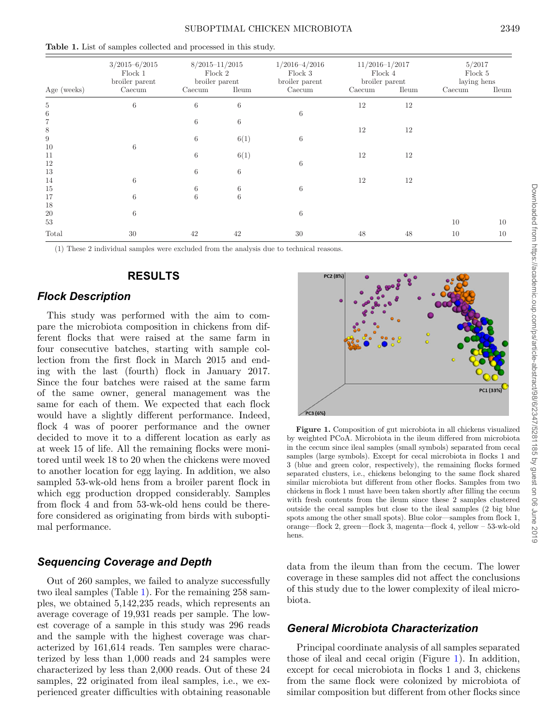<span id="page-2-0"></span>**Table 1.** List of samples collected and processed in this study.

| Age (weeks)    | $3/2015 - 6/2015$<br>Flock 1<br>broiler parent<br>Caecum | $8/2015 - 11/2015$<br>Flock 2<br>broiler parent<br><b>Ileum</b><br>Caecum |      | $1/2016 - 4/2016$<br>Flock 3<br>broiler parent<br>Caecum | $11/2016 - 1/2017$<br>Flock 4<br>$b$ roiler $\,$ parent<br><b>Ileum</b><br>Caecum |    | 5/2017<br>Flock 5<br>laying hens<br><b>Ileum</b><br>Caecum |    |
|----------------|----------------------------------------------------------|---------------------------------------------------------------------------|------|----------------------------------------------------------|-----------------------------------------------------------------------------------|----|------------------------------------------------------------|----|
| $\overline{5}$ | $\,6$                                                    | $\,6$                                                                     | 6    |                                                          | 12                                                                                | 12 |                                                            |    |
| $\,6\,$        |                                                          |                                                                           |      | 6                                                        |                                                                                   |    |                                                            |    |
| $\overline{7}$ |                                                          | 6                                                                         | 6    |                                                          |                                                                                   |    |                                                            |    |
| 8              |                                                          |                                                                           |      |                                                          | 12                                                                                | 12 |                                                            |    |
| $\,9$          |                                                          | $\,6$                                                                     | 6(1) | 6                                                        |                                                                                   |    |                                                            |    |
| 10             | 6                                                        |                                                                           |      |                                                          |                                                                                   |    |                                                            |    |
| 11             |                                                          | $\,6$                                                                     | 6(1) |                                                          | 12                                                                                | 12 |                                                            |    |
| 12             |                                                          |                                                                           |      | 6                                                        |                                                                                   |    |                                                            |    |
| 13             |                                                          | 6                                                                         | 6    |                                                          |                                                                                   |    |                                                            |    |
| 14             | 6                                                        |                                                                           |      |                                                          | 12                                                                                | 12 |                                                            |    |
| 15             |                                                          | 6                                                                         | 6    | 6                                                        |                                                                                   |    |                                                            |    |
| 17             | 6                                                        | 6                                                                         | 6    |                                                          |                                                                                   |    |                                                            |    |
| 18             |                                                          |                                                                           |      |                                                          |                                                                                   |    |                                                            |    |
| $20\,$         | 6                                                        |                                                                           |      | 6                                                        |                                                                                   |    |                                                            |    |
| 53             |                                                          |                                                                           |      |                                                          |                                                                                   |    | 10                                                         | 10 |
| Total          | 30                                                       | 42                                                                        | 42   | 30                                                       | 48                                                                                | 48 | 10                                                         | 10 |

(1) These 2 individual samples were excluded from the analysis due to technical reasons.

### **RESULTS**

#### *Flock Description*

This study was performed with the aim to compare the microbiota composition in chickens from different flocks that were raised at the same farm in four consecutive batches, starting with sample collection from the first flock in March 2015 and ending with the last (fourth) flock in January 2017. Since the four batches were raised at the same farm of the same owner, general management was the same for each of them. We expected that each flock would have a slightly different performance. Indeed, flock 4 was of poorer performance and the owner decided to move it to a different location as early as at week 15 of life. All the remaining flocks were monitored until week 18 to 20 when the chickens were moved to another location for egg laying. In addition, we also sampled 53-wk-old hens from a broiler parent flock in which egg production dropped considerably. Samples from flock 4 and from 53-wk-old hens could be therefore considered as originating from birds with suboptimal performance.

### *Sequencing Coverage and Depth*

Out of 260 samples, we failed to analyze successfully two ileal samples (Table [1\)](#page-2-0). For the remaining 258 samples, we obtained 5,142,235 reads, which represents an average coverage of 19,931 reads per sample. The lowest coverage of a sample in this study was 296 reads and the sample with the highest coverage was characterized by 161,614 reads. Ten samples were characterized by less than 1,000 reads and 24 samples were characterized by less than 2,000 reads. Out of these 24 samples, 22 originated from ileal samples, i.e., we experienced greater difficulties with obtaining reasonable

<span id="page-2-1"></span>

**Figure 1.** Composition of gut microbiota in all chickens visualized by weighted PCoA. Microbiota in the ileum differed from microbiota in the cecum since ileal samples (small symbols) separated from cecal samples (large symbols). Except for cecal microbiota in flocks 1 and 3 (blue and green color, respectively), the remaining flocks formed separated clusters, i.e., chickens belonging to the same flock shared similar microbiota but different from other flocks. Samples from two chickens in flock 1 must have been taken shortly after filling the cecum with fresh contents from the ileum since these 2 samples clustered outside the cecal samples but close to the ileal samples (2 big blue spots among the other small spots). Blue color—samples from flock 1, orange—flock 2, green—flock 3, magenta—flock 4, yellow – 53-wk-old hens.

data from the ileum than from the cecum. The lower coverage in these samples did not affect the conclusions of this study due to the lower complexity of ileal microbiota.

#### *General Microbiota Characterization*

Principal coordinate analysis of all samples separated those of ileal and cecal origin (Figure [1\)](#page-2-1). In addition[,](#page-3-0) except for cecal microbiota in flocks 1 and 3, chickens from the same flock were colonized by microbiota of similar composition but different from other flocks since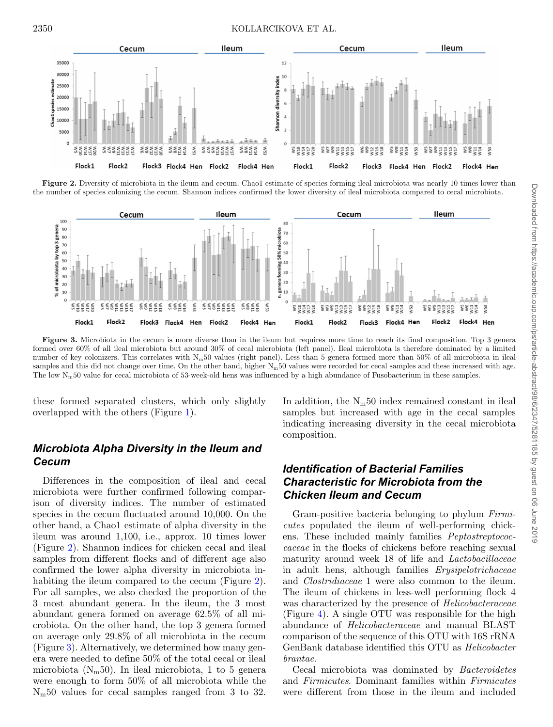<span id="page-3-0"></span>

**Figure 2.** Diversity of microbiota in the ileum and cecum. Chao1 estimate of species forming ileal microbiota was nearly 10 times lower than the number of species colonizing the cecum. Shannon indices confirmed the lower diversity of ileal microbiota compared to cecal microbiota.

<span id="page-3-1"></span>

Figure 3. Microbiota in the cecum is more diverse than in the ileum but requires more time to reach its final composition. Top 3 genera formed over 60% of all ileal microbiota but around 30% of cecal microbiota (left panel). Ileal microbiota is therefore dominated by a limited number of key colonizers. This correlates with  $N_m$ 50 values (right panel). Less than 5 genera formed more than 50% of all microbiota in ileal samples and this did not change over time. On the other hand, higher  $N_m50$  values were recorded for cecal samples and these increased with age. The low N<sub>m</sub>50 value for cecal microbiota of 53-week-old hens was influenced by a high abundance of Fusobacterium in these samples.

these formed separated clusters, which only slightly overlapped with the others (Figure [1\)](#page-2-1).

## *Microbiota Alpha Diversity in the Ileum and Cecum*

Differences in the composition of ileal and cecal microbiota were further confirmed following comparison of diversity indices. The number of estimated species in the cecum fluctuated around 10,000. On the other hand, a Chao1 estimate of alpha diversity in the ileum was around 1,100, i.e., approx. 10 times lower (Figure [2\)](#page-3-0). Shannon indices for chicken cecal and ileal samples from different flocks and of different age also confirmed the lower alpha diversity in microbiota in-habiting the ileum compared to the cecum (Figure [2\)](#page-3-0). For all samples, we also checked the proportion of the 3 most abundant genera. In the ileum, the 3 most abundant genera formed on average 62.5% of all microbiota. On the other hand, the top 3 genera formed on average only 29.8% of all microbiota in the cecum (Figure [3\)](#page-3-1). Alternatively, we determined how many genera were needed to define 50% of the total cecal or ileal microbiota ( $N_m$ 50). In ileal microbiota, 1 to 5 genera were enough to form 50% of all microbiota while the  $N<sub>m</sub>50$  values for cecal samples ranged from 3 to 32.

In addition, the  $N_m50$  index remained constant in ileal samples but increased with age in the cecal samples indicating increasing diversity in the cecal microbiota composition.

# *Identification of Bacterial Families Characteristic for Microbiota from the Chicken Ileum and Cecum*

Gram-positive bacteria belonging to phylum *Firmicutes* populated the ileum of well-performing chickens. These included mainly families *Peptostreptococcaceae* in the flocks of chickens before reaching sexual maturity around week 18 of life and *Lactobacillaceae* in adult hens, although families *Erysipelotrichaceae* and *Clostridiaceae* 1 were also common to the ileum. The ileum of chickens in less-well performing flock 4 was characterized by the presence of *Helicobacteraceae* (Figure [4\)](#page-4-0). A single OTU was responsible for the high abundance of *Helicobacteraceae* and manual BLAST comparison of the sequence of this OTU with 16S rRNA GenBank database identified this OTU as *Helicobacter brantae*.

Cecal microbiota was dominated by *Bacteroidetes* and *Firmicutes*. Dominant families within *Firmicutes* were different from those in the ileum and included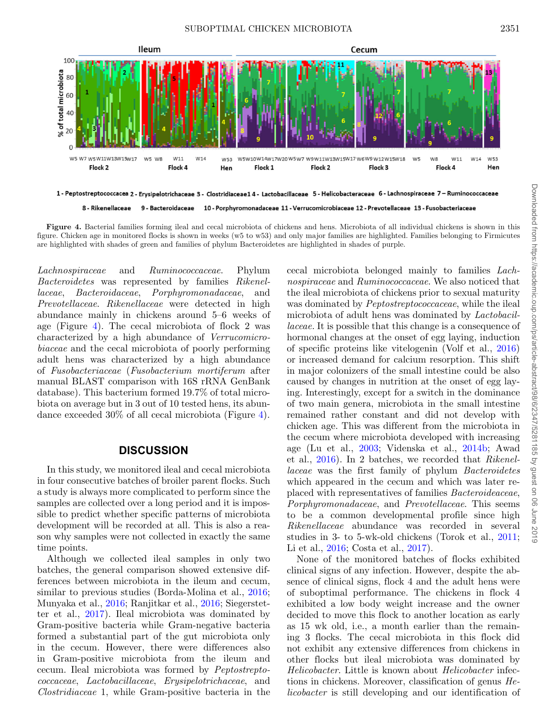<span id="page-4-0"></span>

8 - Rikenellaceae 9 - Bacteroidaceae 10 - Porphyromonadaceae 11 - Verrucomicrobiaceae 12 - Prevotellaceae 13 - Fusobacteriaceae

**Figure 4.** Bacterial families forming ileal and cecal microbiota of chickens and hens. Microbiota of all individual chickens is shown in this figure. Chicken age in monitored flocks is shown in weeks (w5 to w53) and only major families are highlighted. Families belonging to Firmicutes are highlighted with shades of green and families of phylum Bacteroidetes are highlighted in shades of purple.

*Lachnospiraceae* and *Ruminococcaceae*. Phylum *Bacteroidetes* was represented by families *Rikenellaceae*, *Bacteroidaceae*, *Porphyromonadaceae*, and *Prevotellaceae*. *Rikenellaceae* were detected in high abundance mainly in chickens around 5–6 weeks of age (Figure [4\)](#page-4-0). The cecal microbiota of flock 2 was characterized by a high abundance of *Verrucomicrobiaceae* and the cecal microbiota of poorly performing adult hens was characterized by a high abundance of *Fusobacteriaceae* (*Fusobacterium mortiferum* after manual BLAST comparison with 16S rRNA GenBank database). This bacterium formed 19.7% of total microbiota on average but in 3 out of 10 tested hens, its abundance exceeded 30% of all cecal microbiota (Figure [4\)](#page-4-0).

#### **DISCUSSION**

In this study, we monitored ileal and cecal microbiota in four consecutive batches of broiler parent flocks. Such a study is always more complicated to perform since the samples are collected over a long period and it is impossible to predict whether specific patterns of microbiota development will be recorded at all. This is also a reason why samples were not collected in exactly the same time points.

Although we collected ileal samples in only two batches, the general comparison showed extensive differences between microbiota in the ileum and cecum, similar to previous studies (Borda-Molina et al., [2016;](#page-5-1) Munyaka et al., [2016;](#page-5-4) Ranjitkar et al., [2016;](#page-6-6) Siegerstetter et al., [2017\)](#page-6-7). Ileal microbiota was dominated by Gram-positive bacteria while Gram-negative bacteria formed a substantial part of the gut microbiota only in the cecum. However, there were differences also in Gram-positive microbiota from the ileum and cecum. Ileal microbiota was formed by *Peptostreptococcaceae*, *Lactobacillaceae*, *Erysipelotrichaceae*, and *Clostridiaceae* 1, while Gram-positive bacteria in the cecal microbiota belonged mainly to families *Lachnospiraceae* and *Ruminococcaceae*. We also noticed that the ileal microbiota of chickens prior to sexual maturity was dominated by *Peptostreptococcaceae*, while the ileal microbiota of adult hens was dominated by *Lactobacillaceae.* It is possible that this change is a consequence of hormonal changes at the onset of egg laying, induction of specific proteins like vitelogenin (Volf et al., [2016\)](#page-6-8) or increased demand for calcium resorption. This shift in major colonizers of the small intestine could be also caused by changes in nutrition at the onset of egg laying. Interestingly, except for a switch in the dominance of two main genera, microbiota in the small intestine remained rather constant and did not develop with chicken age. This was different from the microbiota in the cecum where microbiota developed with increasing age (Lu et al., [2003;](#page-5-5) Videnska et al., [2014b;](#page-6-1) Awad et al., [2016\)](#page-5-6). In 2 batches, we recorded that *Rikenellaceae* was the first family of phylum *Bacteroidetes* which appeared in the cecum and which was later replaced with representatives of families *Bacteroideaceae*, *Porphyromonadaceae*, and *Prevotellaceae*. This seems to be a common developmental profile since high *Rikenellaceae* abundance was recorded in several studies in 3- to 5-wk-old chickens (Torok et al., [2011;](#page-6-9) Li et al., [2016;](#page-5-7) Costa et al., [2017\)](#page-5-8).

None of the monitored batches of flocks exhibited clinical signs of any infection. However, despite the absence of clinical signs, flock 4 and the adult hens were of suboptimal performance. The chickens in flock 4 exhibited a low body weight increase and the owner decided to move this flock to another location as early as 15 wk old, i.e., a month earlier than the remaining 3 flocks. The cecal microbiota in this flock did not exhibit any extensive differences from chickens in other flocks but ileal microbiota was dominated by *Helicobacter*. Little is known about *Helicobacter* infections in chickens. Moreover, classification of genus *Helicobacter* is still developing and our identification of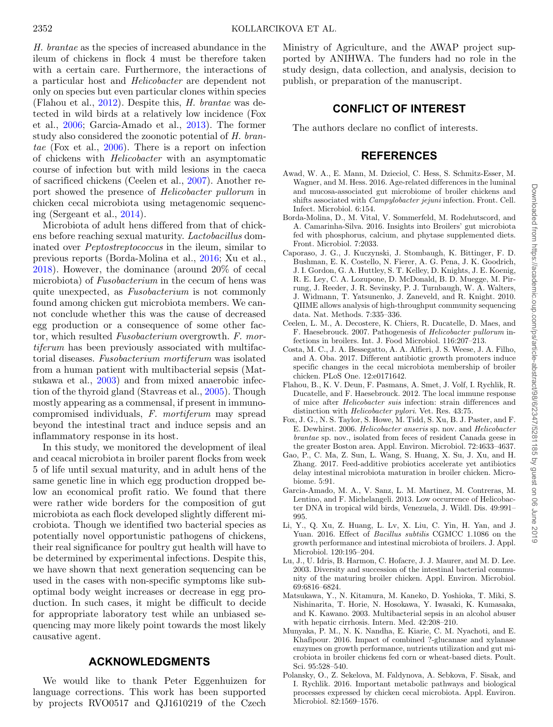*H. brantae* as the species of increased abundance in the ileum of chickens in flock 4 must be therefore taken with a certain care. Furthermore, the interactions of a particular host and *Helicobacter* are dependent not only on species but even particular clones within species (Flahou et al., [2012\)](#page-5-9). Despite this, *H. brantae* was detected in wild birds at a relatively low incidence (Fox et al., [2006;](#page-5-10) Garcia-Amado et al., [2013\)](#page-5-11). The former study also considered the zoonotic potential of *H. brantae* (Fox et al., [2006\)](#page-5-10). There is a report on infection of chickens with *Helicobacter* with an asymptomatic course of infection but with mild lesions in the caeca of sacrificed chickens (Ceelen et al., [2007\)](#page-5-12). Another report showed the presence of *Helicobacter pullorum* in chicken cecal microbiota using metagenomic sequencing (Sergeant et al., [2014\)](#page-6-10).

Microbiota of adult hens differed from that of chickens before reaching sexual maturity. *Lactobacillus* dominated over *Peptostreptococcus* in the ileum, similar to previous reports (Borda-Molina et al., [2016;](#page-5-1) Xu et al., [2018\)](#page-6-3). However, the dominance (around 20% of cecal microbiota) of *Fusobacterium* in the cecum of hens was quite unexpected, as *Fusobacterium* is not commonly found among chicken gut microbiota members. We cannot conclude whether this was the cause of decreased egg production or a consequence of some other factor, which resulted *Fusobacterium* overgrowth. *F. mortiferum* has been previously associated with multifactorial diseases. *Fusobacterium mortiferum* was isolated from a human patient with multibacterial sepsis (Matsukawa et al., [2003\)](#page-5-13) and from mixed anaerobic infection of the thyroid gland (Stavreas et al., [2005\)](#page-6-11). Though mostly appearing as a commensal, if present in immunocompromised individuals, *F. mortiferum* may spread beyond the intestinal tract and induce sepsis and an inflammatory response in its host.

In this study, we monitored the development of ileal and ceacal microbiota in broiler parent flocks from week 5 of life until sexual maturity, and in adult hens of the same genetic line in which egg production dropped below an economical profit ratio. We found that there were rather wide borders for the composition of gut microbiota as each flock developed slightly different microbiota. Though we identified two bacterial species as potentially novel opportunistic pathogens of chickens, their real significance for poultry gut health will have to be determined by experimental infections. Despite this, we have shown that next generation sequencing can be used in the cases with non-specific symptoms like suboptimal body weight increases or decrease in egg production. In such cases, it might be difficult to decide for appropriate laboratory test while an unbiased sequencing may more likely point towards the most likely causative agent.

#### **ACKNOWLEDGMENTS**

We would like to thank Peter Eggenhuizen for language corrections. This work has been supported by projects RVO0517 and QJ1610219 of the Czech Ministry of Agriculture, and the AWAP project supported by ANIHWA. The funders had no role in the study design, data collection, and analysis, decision to publish, or preparation of the manuscript.

#### **CONFLICT OF INTEREST**

The authors declare no conflict of interests.

### **REFERENCES**

- <span id="page-5-6"></span>Awad, W. A., E. Mann, M. Dzieciol, C. Hess, S. Schmitz-Esser, M. Wagner, and M. Hess. 2016. Age-related differences in the luminal and mucosa-associated gut microbiome of broiler chickens and shifts associated with *Campylobacter jejuni* infection. Front. Cell. Infect. Microbiol. 6:154.
- <span id="page-5-1"></span>Borda-Molina, D., M. Vital, V. Sommerfeld, M. Rodehutscord, and A. Camarinha-Silva. 2016. Insights into Broilers' gut microbiota fed with phosphorus, calcium, and phytase supplemented diets. Front. Microbiol. 7:2033.
- <span id="page-5-3"></span>Caporaso, J. G., J. Kuczynski, J. Stombaugh, K. Bittinger, F. D. Bushman, E. K. Costello, N. Fierer, A. G. Pena, J. K. Goodrich, J. I. Gordon, G. A. Huttley, S. T. Kelley, D. Knights, J. E. Koenig, R. E. Ley, C. A. Lozupone, D. McDonald, B. D. Muegge, M. Pirrung, J. Reeder, J. R. Sevinsky, P. J. Turnbaugh, W. A. Walters, J. Widmann, T. Yatsunenko, J. Zaneveld, and R. Knight. 2010. QIIME allows analysis of high-throughput community sequencing data. Nat. Methods. 7:335–336.
- <span id="page-5-12"></span>Ceelen, L. M., A. Decostere, K. Chiers, R. Ducatelle, D. Maes, and F. Haesebrouck. 2007. Pathogenesis of *Helicobacter pullorum* infections in broilers. Int. J. Food Microbiol. 116:207–213.
- <span id="page-5-8"></span>Costa, M. C., J. A. Bessegatto, A. A. Alfieri, J. S. Weese, J. A. Filho, and A. Oba. 2017. Different antibiotic growth promoters induce specific changes in the cecal microbiota membership of broiler chicken. PLoS One. 12:e0171642.
- <span id="page-5-9"></span>Flahou, B., K. V. Deun, F. Pasmans, A. Smet, J. Volf, I. Rychlik, R. Ducatelle, and F. Haesebrouck. 2012. The local immune response of mice after *Helicobacter suis* infection: strain differences and distinction with *Helicobacter pylori*. Vet. Res. 43:75.
- <span id="page-5-10"></span>Fox, J. G., N. S. Taylor, S. Howe, M. Tidd, S. Xu, B. J. Paster, and F. E. Dewhirst. 2006. *Helicobacter anseris* sp. nov. and *Helicobacter brantae* sp. nov., isolated from feces of resident Canada geese in the greater Boston area. Appl. Environ. Microbiol. 72:4633–4637.
- <span id="page-5-0"></span>Gao, P., C. Ma, Z. Sun, L. Wang, S. Huang, X. Su, J. Xu, and H. Zhang. 2017. Feed-additive probiotics accelerate yet antibiotics delay intestinal microbiota maturation in broiler chicken. Microbiome. 5:91.
- <span id="page-5-11"></span>Garcia-Amado, M. A., V. Sanz, L. M. Martinez, M. Contreras, M. Lentino, and F. Michelangeli. 2013. Low occurrence of Helicobacter DNA in tropical wild birds, Venezuela, J. Wildl. Dis. 49:991– 995.
- <span id="page-5-7"></span>Li, Y., Q. Xu, Z. Huang, L. Lv, X. Liu, C. Yin, H. Yan, and J. Yuan. 2016. Effect of *Bacillus subtilis* CGMCC 1.1086 on the growth performance and intestinal microbiota of broilers. J. Appl. Microbiol. 120:195–204.
- <span id="page-5-5"></span>Lu, J., U. Idris, B. Harmon, C. Hofacre, J. J. Maurer, and M. D. Lee. 2003. Diversity and succession of the intestinal bacterial community of the maturing broiler chicken. Appl. Environ. Microbiol. 69:6816–6824.
- <span id="page-5-13"></span>Matsukawa, Y., N. Kitamura, M. Kaneko, D. Yoshioka, T. Miki, S. Nishinarita, T. Horie, N. Hosokawa, Y. Iwasaki, K. Kumasaka, and K. Kawano. 2003. Multibacterial sepsis in an alcohol abuser with hepatic cirrhosis. Intern. Med. 42:208–210.
- <span id="page-5-4"></span>Munyaka, P. M., N. K. Nandha, E. Kiarie, C. M. Nyachoti, and E. Khafipour. 2016. Impact of combined ?-glucanase and xylanase enzymes on growth performance, nutrients utilization and gut microbiota in broiler chickens fed corn or wheat-based diets. Poult. Sci. 95:528–540.
- <span id="page-5-2"></span>Polansky, O., Z. Sekelova, M. Faldynova, A. Sebkova, F. Sisak, and I. Rychlik. 2016. Important metabolic pathways and biological processes expressed by chicken cecal microbiota. Appl. Environ. Microbiol. 82:1569–1576.